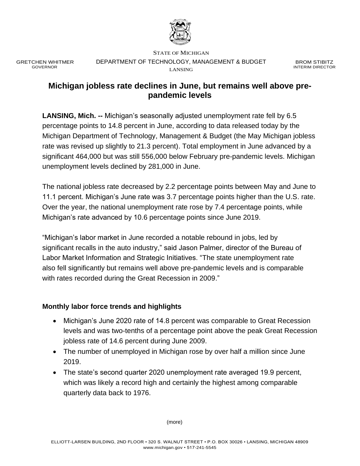

GRETCHEN WHITMER GOVERNOR

STATE OF MICHIGAN DEPARTMENT OF TECHNOLOGY, MANAGEMENT & BUDGET LANSING

BROM STIBITZ INTERIM DIRECTOR

## **Michigan jobless rate declines in June, but remains well above prepandemic levels**

**LANSING, Mich. --** Michigan's seasonally adjusted unemployment rate fell by 6.5 percentage points to 14.8 percent in June, according to data released today by the Michigan Department of Technology, Management & Budget (the May Michigan jobless rate was revised up slightly to 21.3 percent). Total employment in June advanced by a significant 464,000 but was still 556,000 below February pre-pandemic levels. Michigan unemployment levels declined by 281,000 in June.

The national jobless rate decreased by 2.2 percentage points between May and June to 11.1 percent. Michigan's June rate was 3.7 percentage points higher than the U.S. rate. Over the year, the national unemployment rate rose by 7.4 percentage points, while Michigan's rate advanced by 10.6 percentage points since June 2019.

"Michigan's labor market in June recorded a notable rebound in jobs, led by significant recalls in the auto industry," said Jason Palmer, director of the Bureau of Labor Market Information and Strategic Initiatives. "The state unemployment rate also fell significantly but remains well above pre-pandemic levels and is comparable with rates recorded during the Great Recession in 2009."

## **Monthly labor force trends and highlights**

- Michigan's June 2020 rate of 14.8 percent was comparable to Great Recession levels and was two-tenths of a percentage point above the peak Great Recession jobless rate of 14.6 percent during June 2009.
- The number of unemployed in Michigan rose by over half a million since June 2019.
- The state's second quarter 2020 unemployment rate averaged 19.9 percent, which was likely a record high and certainly the highest among comparable quarterly data back to 1976.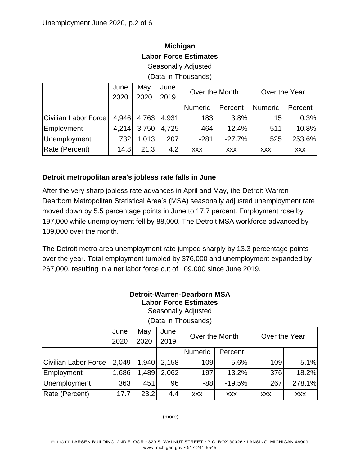# **Michigan Labor Force Estimates**

Seasonally Adjusted

(Data in Thousands)

|                      | June  | May   | June  | Over the Month |            | Over the Year  |            |
|----------------------|-------|-------|-------|----------------|------------|----------------|------------|
|                      | 2020  | 2020  | 2019  |                |            |                |            |
|                      |       |       |       | <b>Numeric</b> | Percent    | <b>Numeric</b> | Percent    |
| Civilian Labor Force | 4,946 | 4,763 | 4.931 | 183            | 3.8%       | 15             | 0.3%       |
| Employment           | 4,214 | 3,750 | 4.725 | 464            | 12.4%      | $-511$         | $-10.8%$   |
| Unemployment         | 732   | 1,013 | 207   | $-281$         | $-27.7%$   | 525            | 253.6%     |
| Rate (Percent)       | 14.8  | 21.3  | 4.2   | <b>XXX</b>     | <b>XXX</b> | <b>XXX</b>     | <b>XXX</b> |

## **Detroit metropolitan area's jobless rate falls in June**

After the very sharp jobless rate advances in April and May, the Detroit-Warren-Dearborn Metropolitan Statistical Area's (MSA) seasonally adjusted unemployment rate moved down by 5.5 percentage points in June to 17.7 percent. Employment rose by 197,000 while unemployment fell by 88,000. The Detroit MSA workforce advanced by 109,000 over the month.

The Detroit metro area unemployment rate jumped sharply by 13.3 percentage points over the year. Total employment tumbled by 376,000 and unemployment expanded by 267,000, resulting in a net labor force cut of 109,000 since June 2019.

## **Detroit-Warren-Dearborn MSA Labor Force Estimates**

Seasonally Adjusted (Data in Thousands)

|  | Over the Month    | June   May   June  |  |
|--|-------------------|--------------------|--|
|  |                   | 2020   2020   2019 |  |
|  | Numeric   Percent |                    |  |

|                      | June  | May   | June  | Over the Month |            | Over the Year |            |
|----------------------|-------|-------|-------|----------------|------------|---------------|------------|
|                      | 2020  | 2020  | 2019  |                |            |               |            |
|                      |       |       |       | <b>Numeric</b> | Percent    |               |            |
| Civilian Labor Force | 2.049 | 1,940 | 2.158 | 109            | 5.6%       | $-109$        | $-5.1%$    |
| Employment           | 1,686 | 1,489 | 2,062 | 197            | 13.2%      | $-376$        | $-18.2%$   |
| Unemployment         | 363   | 451   | 96    | $-88$          | $-19.5%$   | 267           | 278.1%     |
| Rate (Percent)       | 17.7  | 23.2  | 4.4   | <b>XXX</b>     | <b>XXX</b> | <b>XXX</b>    | <b>XXX</b> |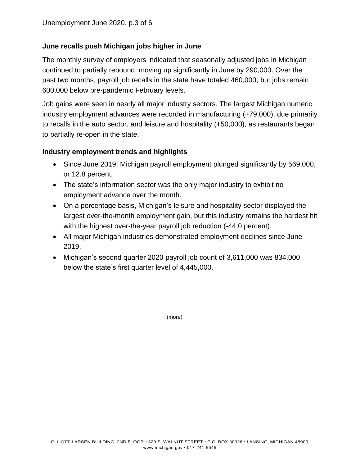## **June recalls push Michigan jobs higher in June**

The monthly survey of employers indicated that seasonally adjusted jobs in Michigan continued to partially rebound, moving up significantly in June by 290,000. Over the past two months, payroll job recalls in the state have totaled 460,000, but jobs remain 600,000 below pre-pandemic February levels.

Job gains were seen in nearly all major industry sectors. The largest Michigan numeric industry employment advances were recorded in manufacturing (+79,000), due primarily to recalls in the auto sector, and leisure and hospitality (+50,000), as restaurants began to partially re-open in the state.

### **Industry employment trends and highlights**

- Since June 2019, Michigan payroll employment plunged significantly by 569,000, or 12.8 percent.
- The state's information sector was the only major industry to exhibit no employment advance over the month.
- On a percentage basis, Michigan's leisure and hospitality sector displayed the largest over-the-month employment gain, but this industry remains the hardest hit with the highest over-the-year payroll job reduction (-44.0 percent).
- All major Michigan industries demonstrated employment declines since June 2019.
- Michigan's second quarter 2020 payroll job count of 3,611,000 was 834,000 below the state's first quarter level of 4,445,000.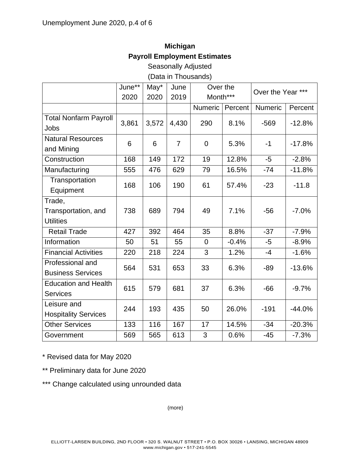# **Michigan Payroll Employment Estimates**

Seasonally Adjusted

(Data in Thousands)

|                                                   | June** | May*  | June           | Over the<br>Month*** |         | Over the Year *** |          |
|---------------------------------------------------|--------|-------|----------------|----------------------|---------|-------------------|----------|
|                                                   | 2020   | 2020  | 2019           |                      |         |                   |          |
|                                                   |        |       |                | Numeric              | Percent | Numeric           | Percent  |
| <b>Total Nonfarm Payroll</b><br>Jobs              | 3,861  | 3,572 | 4,430          | 290                  | 8.1%    | $-569$            | $-12.8%$ |
| <b>Natural Resources</b><br>and Mining            | 6      | 6     | $\overline{7}$ | $\overline{0}$       | 5.3%    | $-1$              | $-17.8%$ |
| Construction                                      | 168    | 149   | 172            | 19                   | 12.8%   | $-5$              | $-2.8%$  |
| Manufacturing                                     | 555    | 476   | 629            | 79                   | 16.5%   | $-74$             | $-11.8%$ |
| Transportation<br>Equipment                       | 168    | 106   | 190            | 61                   | 57.4%   | $-23$             | $-11.8$  |
| Trade,<br>Transportation, and<br><b>Utilities</b> | 738    | 689   | 794            | 49                   | 7.1%    | $-56$             | $-7.0%$  |
| <b>Retail Trade</b>                               | 427    | 392   | 464            | 35                   | 8.8%    | $-37$             | $-7.9%$  |
| Information                                       | 50     | 51    | 55             | $\overline{0}$       | $-0.4%$ | $-5$              | $-8.9%$  |
| <b>Financial Activities</b>                       | 220    | 218   | 224            | 3                    | 1.2%    | $-4$              | $-1.6%$  |
| Professional and<br><b>Business Services</b>      | 564    | 531   | 653            | 33                   | 6.3%    | $-89$             | $-13.6%$ |
| <b>Education and Health</b><br><b>Services</b>    | 615    | 579   | 681            | 37                   | 6.3%    | $-66$             | $-9.7%$  |
| Leisure and<br><b>Hospitality Services</b>        | 244    | 193   | 435            | 50                   | 26.0%   | $-191$            | $-44.0%$ |
| <b>Other Services</b>                             | 133    | 116   | 167            | 17                   | 14.5%   | $-34$             | $-20.3%$ |
| Government                                        | 569    | 565   | 613            | 3                    | 0.6%    | $-45$             | $-7.3%$  |

\* Revised data for May 2020

\*\* Preliminary data for June 2020

\*\*\* Change calculated using unrounded data